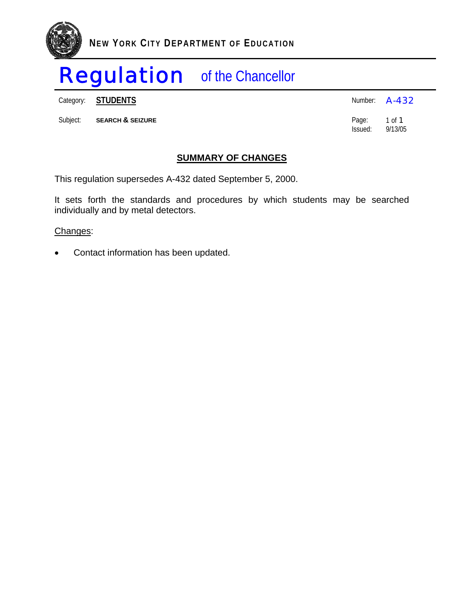

Category: **STUDENTS** 

|          | Category: <b>STUDENTS</b>   | Number: <b>A-432</b>    |         |
|----------|-----------------------------|-------------------------|---------|
| Subject: | <b>SEARCH &amp; SEIZURE</b> | Page: 1 of 1<br>lssued: | 9/13/05 |

#### **SUMMARY OF CHANGES**

This regulation supersedes A-432 dated September 5, 2000.

It sets forth the standards and procedures by which students may be searched individually and by metal detectors.

#### Changes:

• Contact information has been updated.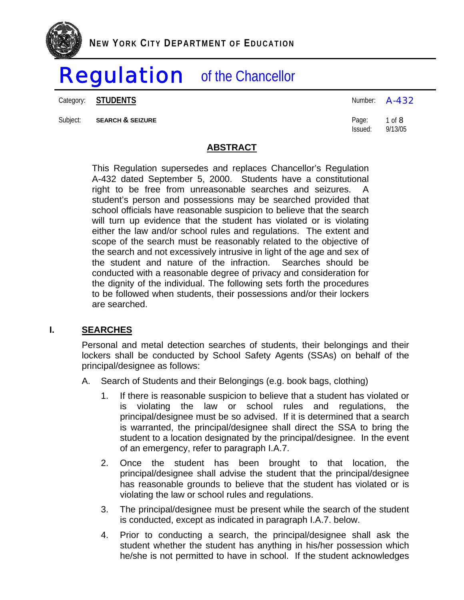Category: **STUDENTS A-432** 

Subject: **SEARCH & SEIZURE Page: 1 of 8** 

Issued: 9/13/05

### **ABSTRACT**

This Regulation supersedes and replaces Chancellor's Regulation A-432 dated September 5, 2000. Students have a constitutional right to be free from unreasonable searches and seizures. A student's person and possessions may be searched provided that school officials have reasonable suspicion to believe that the search will turn up evidence that the student has violated or is violating either the law and/or school rules and regulations. The extent and scope of the search must be reasonably related to the objective of the search and not excessively intrusive in light of the age and sex of the student and nature of the infraction. Searches should be conducted with a reasonable degree of privacy and consideration for the dignity of the individual. The following sets forth the procedures to be followed when students, their possessions and/or their lockers are searched.

#### **I. SEARCHES**

Personal and metal detection searches of students, their belongings and their lockers shall be conducted by School Safety Agents (SSAs) on behalf of the principal/designee as follows:

- A. Search of Students and their Belongings (e.g. book bags, clothing)
	- 1. If there is reasonable suspicion to believe that a student has violated or is violating the law or school rules and regulations, the principal/designee must be so advised. If it is determined that a search is warranted, the principal/designee shall direct the SSA to bring the student to a location designated by the principal/designee. In the event of an emergency, refer to paragraph I.A.7.
	- 2. Once the student has been brought to that location, the principal/designee shall advise the student that the principal/designee has reasonable grounds to believe that the student has violated or is violating the law or school rules and regulations.
	- 3. The principal/designee must be present while the search of the student is conducted, except as indicated in paragraph I.A.7. below.
	- 4. Prior to conducting a search, the principal/designee shall ask the student whether the student has anything in his/her possession which he/she is not permitted to have in school. If the student acknowledges

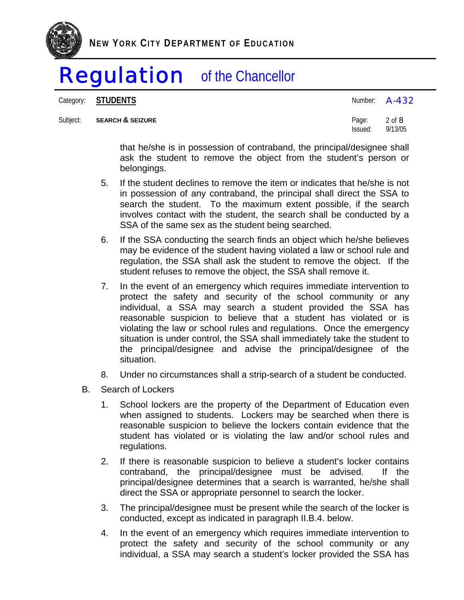

Category: **STUDENTS A-432** 

Subject: **SEARCH & SEIZURE Page:** 2 of 8

Issued: 9/13/05

that he/she is in possession of contraband, the principal/designee shall ask the student to remove the object from the student's person or belongings.

- 5. If the student declines to remove the item or indicates that he/she is not in possession of any contraband, the principal shall direct the SSA to search the student. To the maximum extent possible, if the search involves contact with the student, the search shall be conducted by a SSA of the same sex as the student being searched.
- 6. If the SSA conducting the search finds an object which he/she believes may be evidence of the student having violated a law or school rule and regulation, the SSA shall ask the student to remove the object. If the student refuses to remove the object, the SSA shall remove it.
- 7. In the event of an emergency which requires immediate intervention to protect the safety and security of the school community or any individual, a SSA may search a student provided the SSA has reasonable suspicion to believe that a student has violated or is violating the law or school rules and regulations. Once the emergency situation is under control, the SSA shall immediately take the student to the principal/designee and advise the principal/designee of the situation.
- 8. Under no circumstances shall a strip-search of a student be conducted.
- B. Search of Lockers
	- 1. School lockers are the property of the Department of Education even when assigned to students. Lockers may be searched when there is reasonable suspicion to believe the lockers contain evidence that the student has violated or is violating the law and/or school rules and regulations.
	- 2. If there is reasonable suspicion to believe a student's locker contains contraband, the principal/designee must be advised. If the principal/designee determines that a search is warranted, he/she shall direct the SSA or appropriate personnel to search the locker.
	- 3. The principal/designee must be present while the search of the locker is conducted, except as indicated in paragraph II.B.4. below.
	- 4. In the event of an emergency which requires immediate intervention to protect the safety and security of the school community or any individual, a SSA may search a student's locker provided the SSA has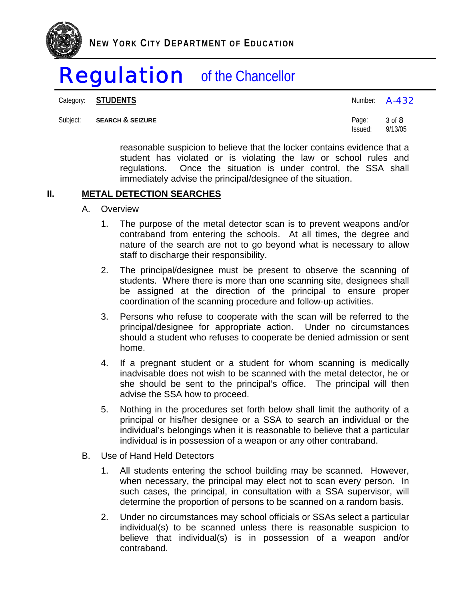

Category: **STUDENTS A-432** 

Subject: **SEARCH & SEIZURE** Page: 3 of 8<br>
Page: 3 of 8<br>
Issued: 9/13/05 Issued: 9/13/05

> reasonable suspicion to believe that the locker contains evidence that a student has violated or is violating the law or school rules and regulations. Once the situation is under control, the SSA shall immediately advise the principal/designee of the situation.

#### **II. METAL DETECTION SEARCHES**

- A. Overview
	- 1. The purpose of the metal detector scan is to prevent weapons and/or contraband from entering the schools. At all times, the degree and nature of the search are not to go beyond what is necessary to allow staff to discharge their responsibility.
	- 2. The principal/designee must be present to observe the scanning of students. Where there is more than one scanning site, designees shall be assigned at the direction of the principal to ensure proper coordination of the scanning procedure and follow-up activities.
	- 3. Persons who refuse to cooperate with the scan will be referred to the principal/designee for appropriate action. Under no circumstances should a student who refuses to cooperate be denied admission or sent home.
	- 4. If a pregnant student or a student for whom scanning is medically inadvisable does not wish to be scanned with the metal detector, he or she should be sent to the principal's office. The principal will then advise the SSA how to proceed.
	- 5. Nothing in the procedures set forth below shall limit the authority of a principal or his/her designee or a SSA to search an individual or the individual's belongings when it is reasonable to believe that a particular individual is in possession of a weapon or any other contraband.
- B. Use of Hand Held Detectors
	- 1. All students entering the school building may be scanned. However, when necessary, the principal may elect not to scan every person. In such cases, the principal, in consultation with a SSA supervisor, will determine the proportion of persons to be scanned on a random basis.
	- 2. Under no circumstances may school officials or SSAs select a particular individual(s) to be scanned unless there is reasonable suspicion to believe that individual(s) is in possession of a weapon and/or contraband.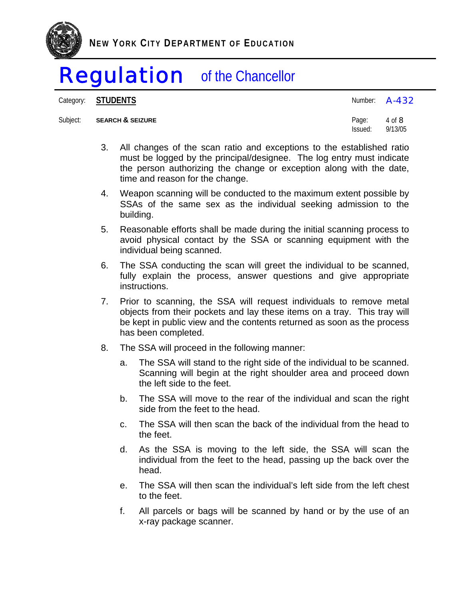

Category: **STUDENTS A-432** 

#### Subject: **SEARCH & SEIZURE Page:** 4 of 8

| .                        |  | .<br>a s | a sa n<br>۰. |
|--------------------------|--|----------|--------------|
|                          |  |          |              |
|                          |  |          |              |
|                          |  |          |              |
|                          |  |          |              |
|                          |  |          |              |
| $\overline{\phantom{0}}$ |  | $ -$     |              |

3. All changes of the scan ratio and exceptions to the established ratio must be logged by the principal/designee. The log entry must indicate the person authorizing the change or exception along with the date, time and reason for the change.

Issued: 9/13/05

- 4. Weapon scanning will be conducted to the maximum extent possible by SSAs of the same sex as the individual seeking admission to the building.
- 5. Reasonable efforts shall be made during the initial scanning process to avoid physical contact by the SSA or scanning equipment with the individual being scanned.
- 6. The SSA conducting the scan will greet the individual to be scanned, fully explain the process, answer questions and give appropriate instructions.
- 7. Prior to scanning, the SSA will request individuals to remove metal objects from their pockets and lay these items on a tray. This tray will be kept in public view and the contents returned as soon as the process has been completed.
- 8. The SSA will proceed in the following manner:
	- a. The SSA will stand to the right side of the individual to be scanned. Scanning will begin at the right shoulder area and proceed down the left side to the feet.
	- b. The SSA will move to the rear of the individual and scan the right side from the feet to the head.
	- c. The SSA will then scan the back of the individual from the head to the feet.
	- d. As the SSA is moving to the left side, the SSA will scan the individual from the feet to the head, passing up the back over the head.
	- e. The SSA will then scan the individual's left side from the left chest to the feet.
	- f. All parcels or bags will be scanned by hand or by the use of an x-ray package scanner.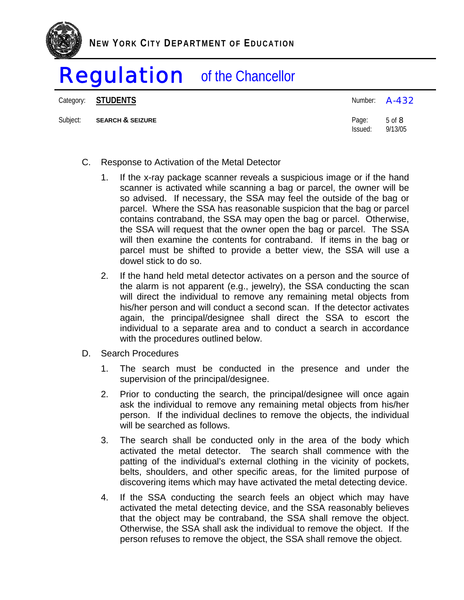

Category: **STUDENTS A-432** 

Subject: **SEARCH & SEIZURE Page:** 5 of 8

| Number: | $A - 432$ |
|---------|-----------|
| n.      | - 10      |

- C. Response to Activation of the Metal Detector
	- 1. If the x-ray package scanner reveals a suspicious image or if the hand scanner is activated while scanning a bag or parcel, the owner will be so advised. If necessary, the SSA may feel the outside of the bag or parcel. Where the SSA has reasonable suspicion that the bag or parcel contains contraband, the SSA may open the bag or parcel. Otherwise, the SSA will request that the owner open the bag or parcel. The SSA will then examine the contents for contraband. If items in the bag or parcel must be shifted to provide a better view, the SSA will use a dowel stick to do so.

Issued: 9/13/05

- 2. If the hand held metal detector activates on a person and the source of the alarm is not apparent (e.g., jewelry), the SSA conducting the scan will direct the individual to remove any remaining metal objects from his/her person and will conduct a second scan. If the detector activates again, the principal/designee shall direct the SSA to escort the individual to a separate area and to conduct a search in accordance with the procedures outlined below.
- D. Search Procedures
	- 1. The search must be conducted in the presence and under the supervision of the principal/designee.
	- 2. Prior to conducting the search, the principal/designee will once again ask the individual to remove any remaining metal objects from his/her person. If the individual declines to remove the objects, the individual will be searched as follows.
	- 3. The search shall be conducted only in the area of the body which activated the metal detector. The search shall commence with the patting of the individual's external clothing in the vicinity of pockets, belts, shoulders, and other specific areas, for the limited purpose of discovering items which may have activated the metal detecting device.
	- 4. If the SSA conducting the search feels an object which may have activated the metal detecting device, and the SSA reasonably believes that the object may be contraband, the SSA shall remove the object. Otherwise, the SSA shall ask the individual to remove the object. If the person refuses to remove the object, the SSA shall remove the object.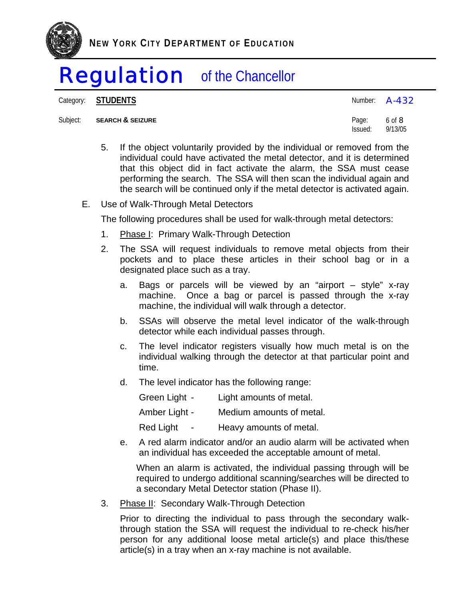

Category: **STUDENTS A-432** 

#### Subject: **SEARCH & SEIZURE**

| Subject: SEARCH & SEIZURE | Page: 6 of 8    |  |
|---------------------------|-----------------|--|
|                           | Issued: 9/13/05 |  |

- 5. If the object voluntarily provided by the individual or removed from the individual could have activated the metal detector, and it is determined that this object did in fact activate the alarm, the SSA must cease performing the search. The SSA will then scan the individual again and the search will be continued only if the metal detector is activated again.
- E. Use of Walk-Through Metal Detectors

The following procedures shall be used for walk-through metal detectors:

- 1. Phase I: Primary Walk-Through Detection
- 2. The SSA will request individuals to remove metal objects from their pockets and to place these articles in their school bag or in a designated place such as a tray.
	- a. Bags or parcels will be viewed by an "airport style" x-ray machine. Once a bag or parcel is passed through the x-ray machine, the individual will walk through a detector.
	- b. SSAs will observe the metal level indicator of the walk-through detector while each individual passes through.
	- c. The level indicator registers visually how much metal is on the individual walking through the detector at that particular point and time.
	- d. The level indicator has the following range:

| Green Light -                                | Light amounts of metal.  |
|----------------------------------------------|--------------------------|
| Amber Light -                                | Medium amounts of metal. |
| <b>Red Light</b><br>$\overline{\phantom{0}}$ | Heavy amounts of metal.  |

e. A red alarm indicator and/or an audio alarm will be activated when an individual has exceeded the acceptable amount of metal.

When an alarm is activated, the individual passing through will be required to undergo additional scanning/searches will be directed to a secondary Metal Detector station (Phase II).

3. Phase II: Secondary Walk-Through Detection

Prior to directing the individual to pass through the secondary walkthrough station the SSA will request the individual to re-check his/her person for any additional loose metal article(s) and place this/these article(s) in a tray when an x-ray machine is not available.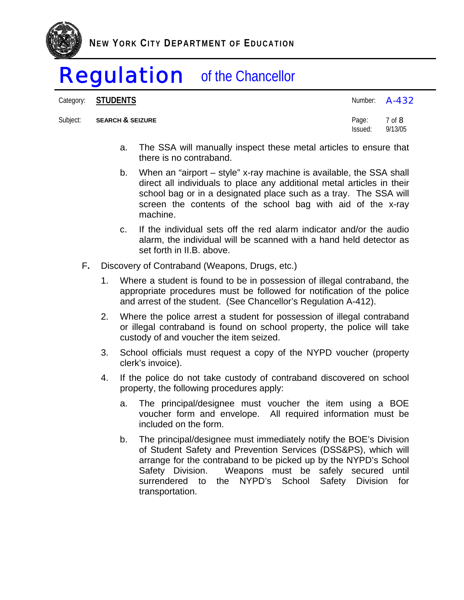

Category: **STUDENTS A-432** 

Subject: **SEARCH & SEIZURE Page:** 7 of 8

Issued: 9/13/05

- a. The SSA will manually inspect these metal articles to ensure that there is no contraband.
- b. When an "airport style" x-ray machine is available, the SSA shall direct all individuals to place any additional metal articles in their school bag or in a designated place such as a tray. The SSA will screen the contents of the school bag with aid of the x-ray machine.
- c. If the individual sets off the red alarm indicator and/or the audio alarm, the individual will be scanned with a hand held detector as set forth in II.B. above.
- F**.** Discovery of Contraband (Weapons, Drugs, etc.)
	- 1. Where a student is found to be in possession of illegal contraband, the appropriate procedures must be followed for notification of the police and arrest of the student. (See Chancellor's Regulation A-412).
	- 2. Where the police arrest a student for possession of illegal contraband or illegal contraband is found on school property, the police will take custody of and voucher the item seized.
	- 3. School officials must request a copy of the NYPD voucher (property clerk's invoice).
	- 4. If the police do not take custody of contraband discovered on school property, the following procedures apply:
		- a. The principal/designee must voucher the item using a BOE voucher form and envelope. All required information must be included on the form.
		- b. The principal/designee must immediately notify the BOE's Division of Student Safety and Prevention Services (DSS&PS), which will arrange for the contraband to be picked up by the NYPD's School Safety Division. Weapons must be safely secured until surrendered to the NYPD's School Safety Division for transportation.